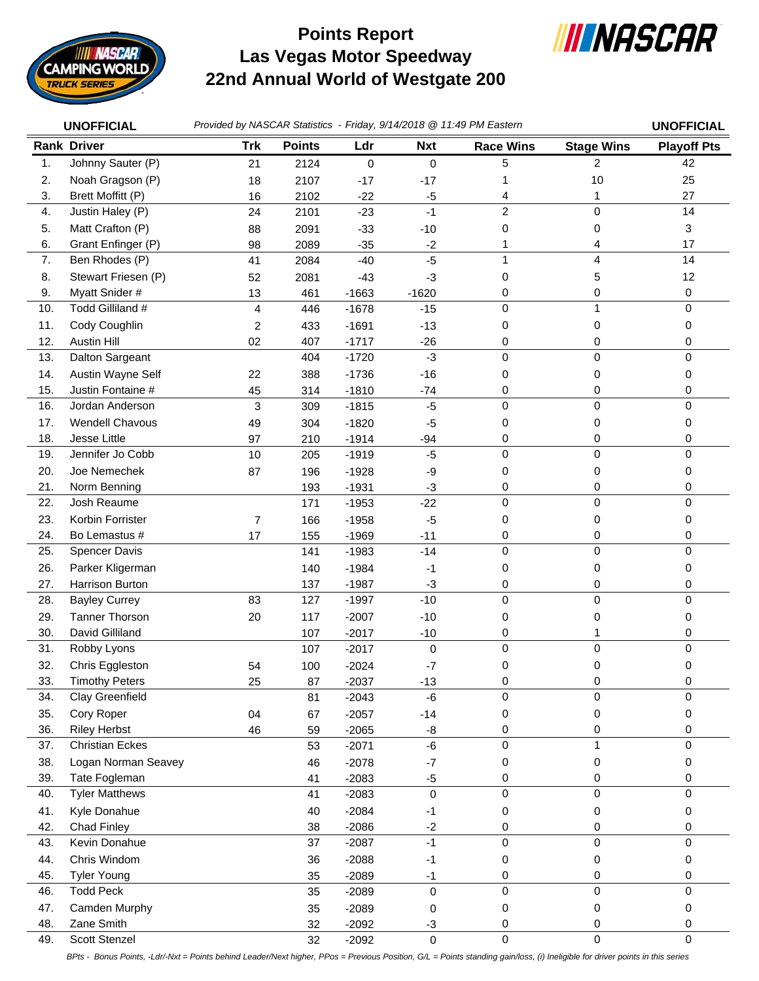

## **Las Vegas Motor Speedway 22nd Annual World of Westgate 200 Points Report**



|     | <b>UNOFFICIAL</b>      | Provided by NASCAR Statistics - Friday, 9/14/2018 @ 11:49 PM Eastern |               |           |             |                  |                   | <b>UNOFFICIAL</b>  |
|-----|------------------------|----------------------------------------------------------------------|---------------|-----------|-------------|------------------|-------------------|--------------------|
|     | <b>Rank Driver</b>     | <b>Trk</b>                                                           | <b>Points</b> | Ldr       | <b>Nxt</b>  | <b>Race Wins</b> | <b>Stage Wins</b> | <b>Playoff Pts</b> |
| 1.  | Johnny Sauter (P)      | 21                                                                   | 2124          | $\pmb{0}$ | $\mathbf 0$ | 5                | $\overline{2}$    | 42                 |
| 2.  | Noah Gragson (P)       | 18                                                                   | 2107          | $-17$     | $-17$       | 1                | 10                | 25                 |
| 3.  | Brett Moffitt (P)      | 16                                                                   | 2102          | $-22$     | $-5$        | 4                | 1                 | 27                 |
| 4.  | Justin Haley (P)       | 24                                                                   | 2101          | $-23$     | $-1$        | $\overline{c}$   | $\mathbf 0$       | 14                 |
| 5.  | Matt Crafton (P)       | 88                                                                   | 2091          | $-33$     | $-10$       | 0                | 0                 | 3                  |
| 6.  | Grant Enfinger (P)     | 98                                                                   | 2089          | $-35$     | $-2$        | 1                | 4                 | 17                 |
| 7.  | Ben Rhodes (P)         | 41                                                                   | 2084          | $-40$     | $-5$        | 1                | 4                 | 14                 |
| 8.  | Stewart Friesen (P)    | 52                                                                   | 2081          | $-43$     | $-3$        | 0                | 5                 | 12                 |
| 9.  | Myatt Snider #         | 13                                                                   | 461           | $-1663$   | $-1620$     | 0                | 0                 | 0                  |
| 10. | Todd Gilliland #       | 4                                                                    | 446           | $-1678$   | $-15$       | $\mathbf 0$      | $\mathbf{1}$      | 0                  |
| 11. | Cody Coughlin          | $\overline{c}$                                                       | 433           | $-1691$   | $-13$       | 0                | 0                 | 0                  |
| 12. | <b>Austin Hill</b>     | 02                                                                   | 407           | $-1717$   | $-26$       | 0                | 0                 | 0                  |
| 13. | Dalton Sargeant        |                                                                      | 404           | $-1720$   | $-3$        | $\mathbf 0$      | $\mathbf 0$       | 0                  |
| 14. | Austin Wayne Self      | 22                                                                   | 388           | $-1736$   | $-16$       | 0                | 0                 | 0                  |
| 15. | Justin Fontaine #      | 45                                                                   | 314           | $-1810$   | $-74$       | 0                | 0                 | 0                  |
| 16. | Jordan Anderson        | 3                                                                    | 309           | $-1815$   | $-5$        | $\mathbf 0$      | 0                 | 0                  |
| 17. | Wendell Chavous        | 49                                                                   | 304           | $-1820$   | $-5$        | 0                | 0                 | 0                  |
| 18. | Jesse Little           | 97                                                                   | 210           | $-1914$   | $-94$       | 0                | 0                 | 0                  |
| 19. | Jennifer Jo Cobb       | 10                                                                   | 205           | $-1919$   | $-5$        | $\mathbf 0$      | 0                 | 0                  |
| 20. | Joe Nemechek           | 87                                                                   | 196           | $-1928$   | -9          | 0                | 0                 | 0                  |
| 21. | Norm Benning           |                                                                      | 193           | $-1931$   | -3          | 0                | 0                 | 0                  |
| 22. | Josh Reaume            |                                                                      | 171           | $-1953$   | $-22$       | $\Omega$         | 0                 | $\mathbf 0$        |
| 23. | Korbin Forrister       | 7                                                                    | 166           | $-1958$   | $-5$        | 0                | 0                 | 0                  |
| 24. | Bo Lemastus #          | 17                                                                   | 155           | $-1969$   | $-11$       | 0                | 0                 | 0                  |
| 25. | Spencer Davis          |                                                                      | 141           | $-1983$   | $-14$       | $\mathbf 0$      | 0                 | 0                  |
| 26. | Parker Kligerman       |                                                                      | 140           | $-1984$   | -1          | 0                | 0                 | 0                  |
| 27. | Harrison Burton        |                                                                      | 137           | $-1987$   | -3          | 0                | 0                 | 0                  |
| 28. | <b>Bayley Currey</b>   | 83                                                                   | 127           | $-1997$   | $-10$       | $\mathbf 0$      | 0                 | $\boldsymbol{0}$   |
| 29. | <b>Tanner Thorson</b>  | 20                                                                   | 117           | $-2007$   | $-10$       | 0                | 0                 | 0                  |
| 30. | David Gilliland        |                                                                      | 107           | $-2017$   | $-10$       | 0                | 1                 | 0                  |
| 31. | Robby Lyons            |                                                                      | 107           | $-2017$   | $\mathbf 0$ | $\mathbf 0$      | 0                 | 0                  |
| 32. | Chris Eggleston        | 54                                                                   | 100           | $-2024$   | -7          | 0                | 0                 | 0                  |
| 33. | <b>Timothy Peters</b>  | 25                                                                   | 87            | $-2037$   | $-13$       | 0                | 0                 | 0                  |
| 34. | Clay Greenfield        |                                                                      | 81            | $-2043$   | $-6$        | $\mathbf 0$      | 0                 | 0                  |
| 35. | Cory Roper             | 04                                                                   | 67            | $-2057$   | $-14$       | 0                | 0                 | 0                  |
| 36. | <b>Riley Herbst</b>    | 46                                                                   | 59            | $-2065$   | -8          | 0                | 0                 | 0                  |
| 37. | <b>Christian Eckes</b> |                                                                      | 53            | $-2071$   | -6          | 0                | 1                 | 0                  |
| 38. | Logan Norman Seavey    |                                                                      | 46            | $-2078$   | $-7$        | 0                | 0                 | 0                  |
| 39. | Tate Fogleman          |                                                                      | 41            | $-2083$   | $-5$        | 0                | 0                 | 0                  |
| 40. | <b>Tyler Matthews</b>  |                                                                      | 41            | $-2083$   | $\mathbf 0$ | $\mathbf 0$      | 0                 | 0                  |
| 41. | Kyle Donahue           |                                                                      | 40            | $-2084$   | -1          | 0                | 0                 | 0                  |
| 42. | <b>Chad Finley</b>     |                                                                      | 38            | $-2086$   | $-2$        | 0                | 0                 | 0                  |
| 43. | Kevin Donahue          |                                                                      | 37            | $-2087$   | $-1$        | 0                | $\mathsf 0$       | 0                  |
| 44. | Chris Windom           |                                                                      | 36            | $-2088$   | -1          | 0                | 0                 | 0                  |
| 45. | <b>Tyler Young</b>     |                                                                      | 35            | $-2089$   | $-1$        | 0                | 0                 | 0                  |
| 46. | <b>Todd Peck</b>       |                                                                      | 35            | $-2089$   | 0           | $\mathbf 0$      | 0                 | 0                  |
| 47. | Camden Murphy          |                                                                      | 35            | $-2089$   | 0           | 0                | 0                 | 0                  |
| 48. | Zane Smith             |                                                                      | 32            | $-2092$   | $-3$        | 0                | 0                 | 0                  |
| 49. | Scott Stenzel          |                                                                      | 32            | $-2092$   | $\pmb{0}$   | $\pmb{0}$        | $\pmb{0}$         | $\boldsymbol{0}$   |

*BPts - Bonus Points, -Ldr/-Nxt = Points behind Leader/Next higher, PPos = Previous Position, G/L = Points standing gain/loss, (i) Ineligible for driver points in this series*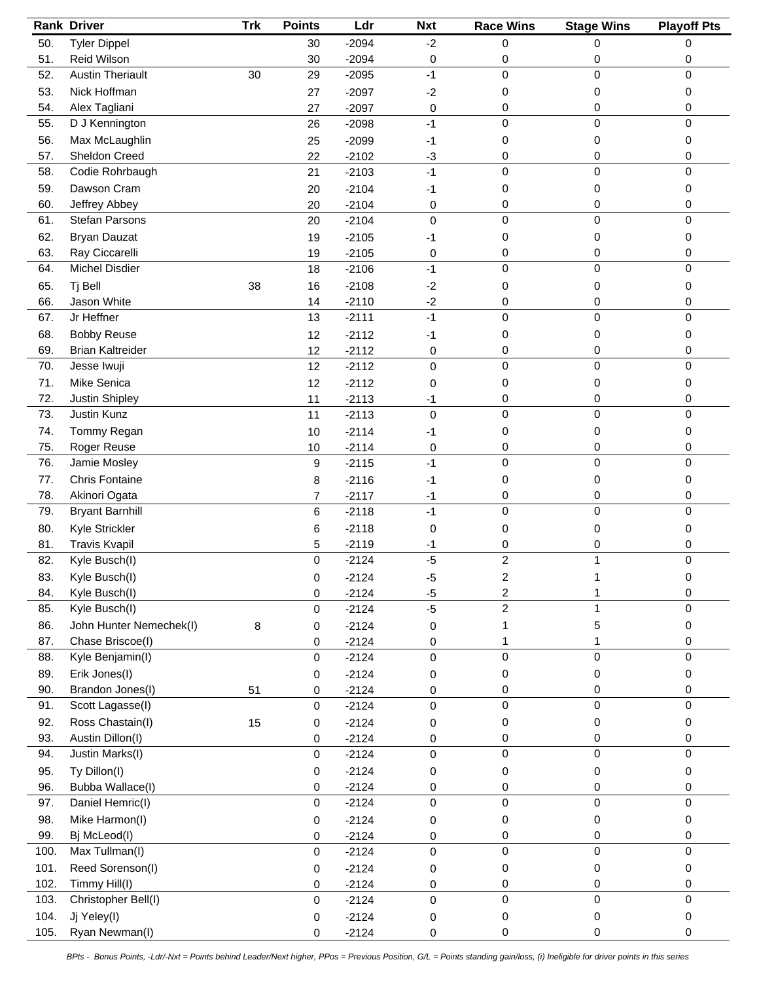|              | <b>Rank Driver</b>                | Trk | <b>Points</b>    | Ldr                | <b>Nxt</b>  | <b>Race Wins</b>        | <b>Stage Wins</b> | <b>Playoff Pts</b> |
|--------------|-----------------------------------|-----|------------------|--------------------|-------------|-------------------------|-------------------|--------------------|
| 50.          | <b>Tyler Dippel</b>               |     | 30               | $-2094$            | $-2$        | 0                       | 0                 | 0                  |
| 51.          | Reid Wilson                       |     | 30               | $-2094$            | 0           | 0                       | 0                 | 0                  |
| 52.          | <b>Austin Theriault</b>           | 30  | 29               | $-2095$            | $-1$        | $\mathbf 0$             | 0                 | 0                  |
| 53.          | Nick Hoffman                      |     | 27               | $-2097$            | $-2$        | 0                       | 0                 | 0                  |
| 54.          | Alex Tagliani                     |     | 27               | $-2097$            | 0           | 0                       | 0                 | 0                  |
| 55.          | D J Kennington                    |     | 26               | $-2098$            | $-1$        | $\mathbf 0$             | 0                 | 0                  |
| 56.          | Max McLaughlin                    |     | 25               | $-2099$            | -1          | 0                       | 0                 | 0                  |
| 57.          | Sheldon Creed                     |     | 22               | $-2102$            | $-3$        | 0                       | 0                 | 0                  |
| 58.          | Codie Rohrbaugh                   |     | 21               | $-2103$            | $-1$        | 0                       | 0                 | 0                  |
| 59.          | Dawson Cram                       |     | 20               | $-2104$            | $-1$        | 0                       | 0                 | 0                  |
| 60.          | Jeffrey Abbey                     |     | 20               | $-2104$            | 0           | 0                       | 0                 | 0                  |
| 61.          | Stefan Parsons                    |     | 20               | $-2104$            | $\Omega$    | $\mathbf{0}$            | 0                 | 0                  |
| 62.          | <b>Bryan Dauzat</b>               |     | 19               | $-2105$            | -1          | 0                       | 0                 | 0                  |
| 63.          | Ray Ciccarelli                    |     | 19               | $-2105$            | 0           | 0                       | 0                 | 0                  |
| 64.          | Michel Disdier                    |     | 18               | $-2106$            | $-1$        | $\mathbf 0$             | 0                 | 0                  |
| 65.          | Tj Bell                           | 38  | 16               | $-2108$            | $-2$        | 0                       | 0                 | 0                  |
| 66.          | Jason White                       |     | 14               | $-2110$            | $-2$        | 0                       | 0                 | 0                  |
| 67.          | Jr Heffner                        |     | 13               | $-2111$            | $-1$        | 0                       | 0                 | 0                  |
| 68.          | <b>Bobby Reuse</b>                |     | 12               | $-2112$            | $-1$        | 0                       | 0                 | 0                  |
| 69.          | <b>Brian Kaltreider</b>           |     | 12               | $-2112$            | 0           | 0                       | 0                 | 0                  |
| 70.          | Jesse Iwuji                       |     | 12               | $-2112$            | 0           | 0                       | 0                 | $\mathsf 0$        |
| 71.          | Mike Senica                       |     | 12               | $-2112$            | 0           | 0                       | 0                 | 0                  |
| 72.          | Justin Shipley                    |     | 11               | $-2113$            | $-1$        | 0                       | 0                 | 0                  |
| 73.          | Justin Kunz                       |     | 11               | $-2113$            | $\Omega$    | $\mathbf 0$             | 0                 | 0                  |
| 74.          | Tommy Regan                       |     | 10               | $-2114$            | -1          | 0                       | 0                 | 0                  |
| 75.          | Roger Reuse                       |     | 10               | $-2114$            | 0           | 0                       | 0                 | 0                  |
| 76.          | Jamie Mosley                      |     | 9                | $-2115$            | $-1$        | $\mathbf 0$             | 0                 | 0                  |
| 77.          | <b>Chris Fontaine</b>             |     | 8                | $-2116$            | $-1$        | 0                       | 0                 | 0                  |
| 78.          | Akinori Ogata                     |     | $\overline{7}$   | $-2117$            | $-1$        | 0                       | 0                 | 0                  |
| 79.          | <b>Bryant Barnhill</b>            |     | 6                | $-2118$            | $-1$        | 0                       | 0                 | 0                  |
| 80.          | Kyle Strickler                    |     | 6                | $-2118$            | 0           | 0                       | 0                 | 0                  |
| 81.          | <b>Travis Kvapil</b>              |     | 5                | $-2119$            | -1          | 0                       | 0                 | 0                  |
| 82.          | Kyle Busch(I)                     |     | $\pmb{0}$        | $-2124$            | $-5$        | $\overline{c}$          | 1                 | 0                  |
| 83.          | Kyle Busch(I)                     |     | 0                | $-2124$            | $-5$        | $\overline{\mathbf{c}}$ |                   |                    |
| 84.          | Kyle Busch(I)                     |     | 0                | $-2124$            | $-5$        | 2                       |                   | 0                  |
| 85.          | Kyle Busch(I)                     |     | 0                | $-2124$            | $-5$        | $\overline{c}$          |                   | 0                  |
| 86.          | John Hunter Nemechek(I)           | 8   | 0                | $-2124$            | 0           | 1                       | 5                 | 0                  |
| 87.          | Chase Briscoe(I)                  |     | 0                | $-2124$            | 0           | 1                       | 1                 | 0                  |
| 88.          | Kyle Benjamin(I)                  |     | $\pmb{0}$        | $-2124$            | 0           | 0                       | 0                 | 0                  |
| 89.          | Erik Jones(I)                     |     | 0                | $-2124$            | 0           | 0                       | 0                 | 0                  |
| 90.          | Brandon Jones(I)                  | 51  | 0                | $-2124$            | 0           | 0                       | 0                 | 0                  |
| 91.          | Scott Lagasse(I)                  |     | $\mathbf 0$      | $-2124$            | $\Omega$    | $\mathbf 0$             | 0                 | 0                  |
| 92.          | Ross Chastain(I)                  | 15  | 0                | $-2124$            | 0           | 0                       | 0                 | 0                  |
| 93.          | Austin Dillon(I)                  |     | 0                | $-2124$            | 0           | 0                       | 0                 | 0                  |
| 94.          | Justin Marks(I)                   |     | 0                | $-2124$            | $\mathbf 0$ | 0                       | 0                 | 0                  |
| 95.          | Ty Dillon(I)                      |     | 0                | $-2124$            | 0           | 0                       | 0                 | 0                  |
| 96.          | Bubba Wallace(I)                  |     | 0                | $-2124$            | 0           | 0                       | 0                 | 0                  |
| 97.          | Daniel Hemric(I)                  |     | 0                | $-2124$            | $\mathbf 0$ | 0                       | 0                 | 0                  |
| 98.          | Mike Harmon(I)                    |     | 0                | $-2124$            | 0           | 0                       | 0                 | 0                  |
| 99.<br>100.  | Bj McLeod(I)<br>Max Tullman(I)    |     | 0<br>$\mathbf 0$ | $-2124$            | 0<br>0      | 0<br>0                  | 0<br>0            | 0<br>0             |
|              |                                   |     |                  | $-2124$            |             |                         |                   |                    |
| 101.<br>102. | Reed Sorenson(I)<br>Timmy Hill(I) |     | 0                | $-2124$            | 0           | 0                       | 0                 | 0                  |
| 103.         | Christopher Bell(I)               |     | 0<br>0           | $-2124$<br>$-2124$ | 0<br>0      | 0<br>$\mathbf 0$        | 0<br>0            | 0<br>0             |
| 104.         | Jj Yeley(I)                       |     |                  | $-2124$            | 0           | 0                       | 0                 | 0                  |
| 105.         | Ryan Newman(I)                    |     | 0<br>0           | $-2124$            | 0           | 0                       | 0                 | 0                  |
|              |                                   |     |                  |                    |             |                         |                   |                    |